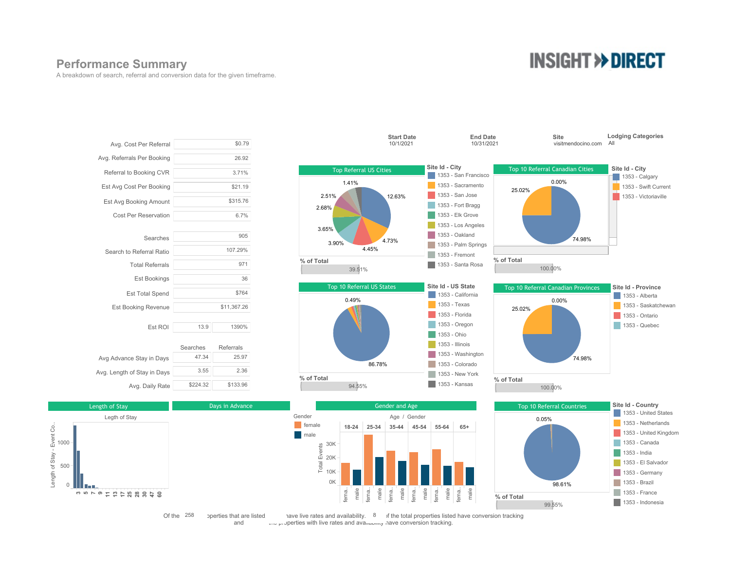### **Performance Summary**

A breakdown of search, referral and conversion data for the given timeframe.

# **INSIGHT >> DIRECT**







Of the  $258$  perties that are listed are live rates and availability.  $8$  if the total properties listed have conversion tracking and  $\alpha$   $\beta$  properties with live rates and availability have conversion tracking.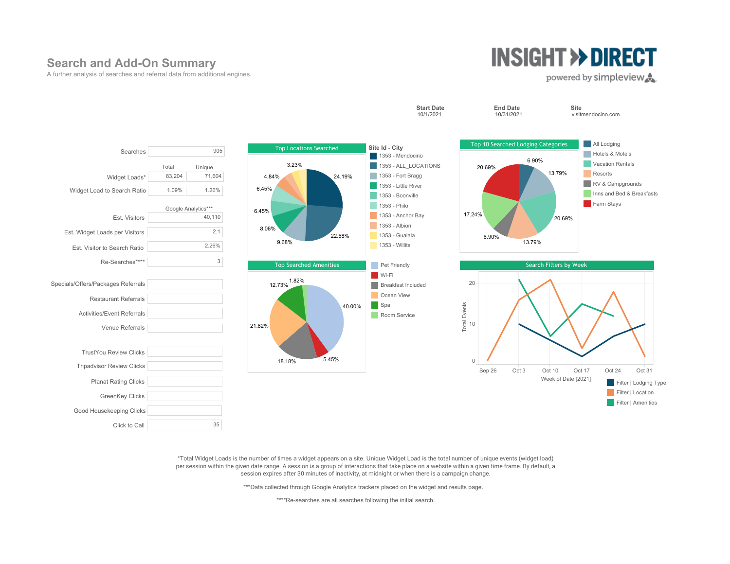## **Search and Add-On Summary**

A further analysis of searches and referral data from additional engines.

# **INSIGHT >> DIRECT**

#### powered by simpleview.



\*Total Widget Loads is the number of times a widget appears on a site. Unique Widget Load is the total number of unique events (widget load) per session within the given date range. A session is a group of interactions that take place on a website within a given time frame. By default, a session expires after 30 minutes of inactivity, at midnight or when there is a campaign change.

\*\*\*Data collected through Google Analytics trackers placed on the widget and results page.

\*\*\*\*Re-searches are all searches following the initial search.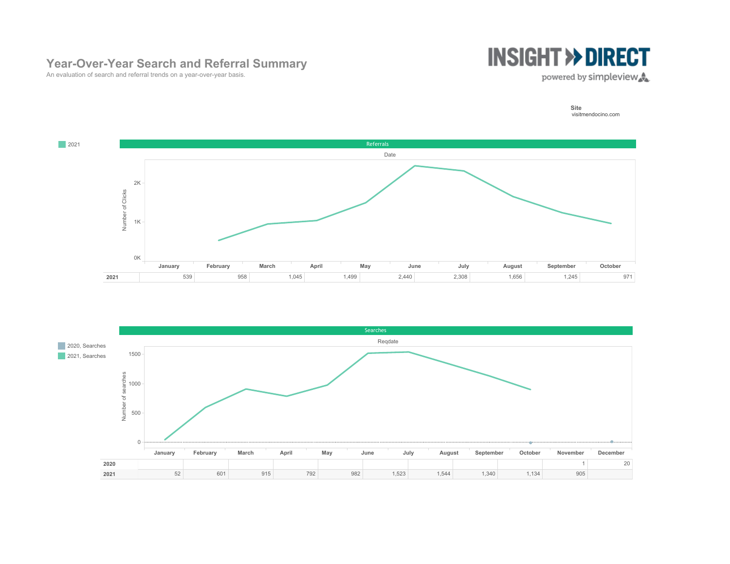# **Year-Over-Year Search and Referral Summary**



An evaluation of search and referral trends on a year-over-year basis.